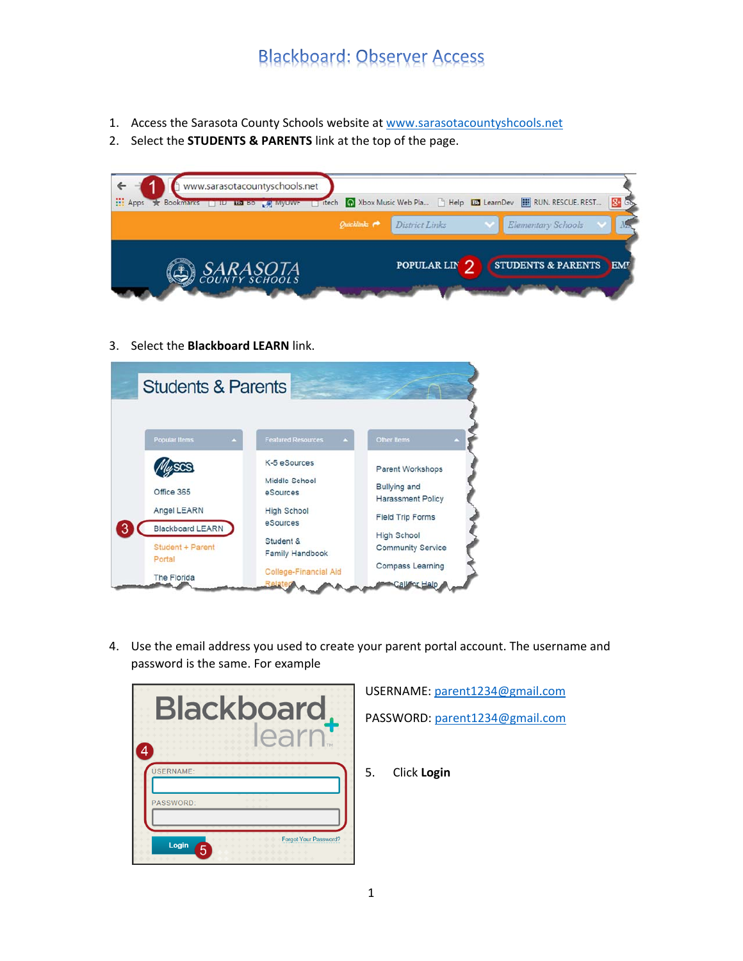- 1. Access the Sarasota County Schools website at www.sarasotacountyshcools.net
- 2. Select the **STUDENTS & PARENTS** link at the top of the page.



3. Select the **Blackboard LEARN** link.



4. Use the email address you used to create your parent portal account. The username and password is the same. For example



USERNAME: parent1234@gmail.com

PASSWORD: parent1234@gmail.com

5. Click **Login**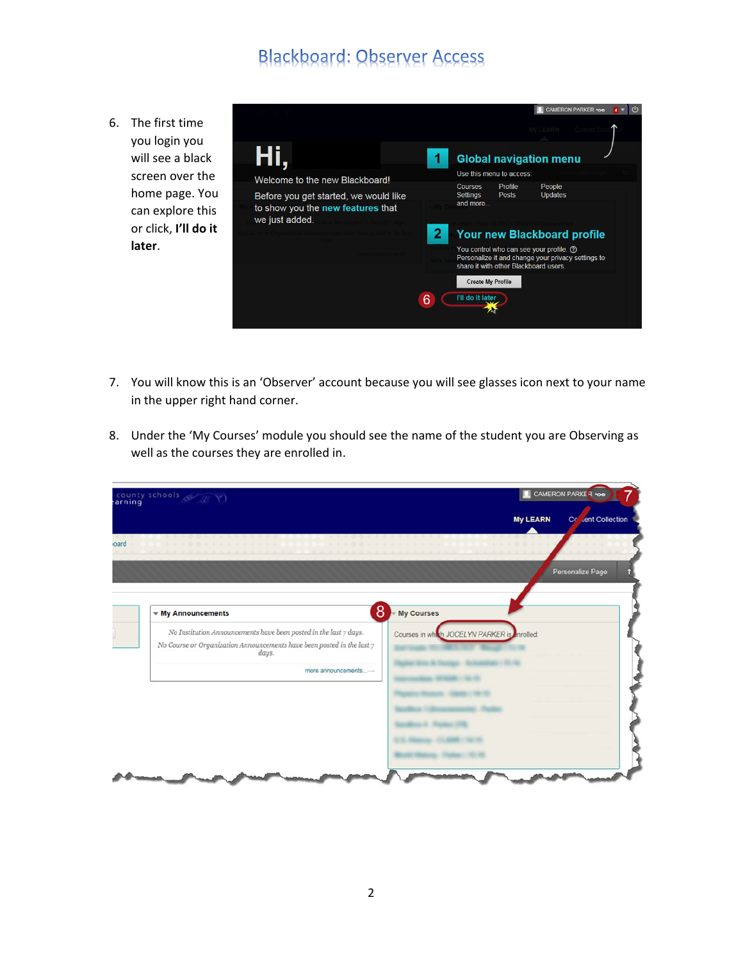6. The first time you login you will see a black screen over the home page. You can explore this or click, **I'll do it later**.

|                                                                                              |                                                                                                                                        | CAMERON PARKER voo |  |
|----------------------------------------------------------------------------------------------|----------------------------------------------------------------------------------------------------------------------------------------|--------------------|--|
|                                                                                              | My LEARN Contei                                                                                                                        |                    |  |
|                                                                                              | <b>Global navigation menu</b>                                                                                                          |                    |  |
| Welcome to the new Blackboard!                                                               | Use this menu to access:                                                                                                               |                    |  |
| Before you get started, we would like<br>to show you the new features that<br>we just added. | People<br>Profile<br><b>Courses</b><br><b>Updates</b><br>Settings<br><b>Posts</b><br>and more                                          |                    |  |
|                                                                                              | 2<br><b>Your new Blackboard profile</b>                                                                                                |                    |  |
|                                                                                              | You control who can see your profile. ?<br>Personalize it and change your privacy settings to<br>share it with other Blackboard users. |                    |  |
|                                                                                              | <b>Create My Profile</b><br>I'll do it later                                                                                           |                    |  |

- 7. You will know this is an 'Observer' account because you will see glasses icon next to your name in the upper right hand corner.
- 8. Under the 'My Courses' module you should see the name of the student you are Observing as well as the courses they are enrolled in.

| county schools                                                                                                                                                                     | CAMERON PARKER 100                                |
|------------------------------------------------------------------------------------------------------------------------------------------------------------------------------------|---------------------------------------------------|
|                                                                                                                                                                                    | <b>My LEARN</b><br>Co <sub>de</sub> nt Collection |
| ***************<br>+ + + + + + + + + + + + + + +                                                                                                                                   | *******                                           |
|                                                                                                                                                                                    | Personalize Page                                  |
|                                                                                                                                                                                    |                                                   |
| 8<br>$\mathbf{w}$ My Announcements                                                                                                                                                 | My Courses                                        |
| No Institution Announcements have been posted in the last $7$ days.<br>No Course or Organization Announcements have been posted in the last $\gamma$ days.<br>more announcements-+ | Courses in which JOCELYN PARKER is enrolled:      |
|                                                                                                                                                                                    |                                                   |
|                                                                                                                                                                                    |                                                   |
|                                                                                                                                                                                    |                                                   |
|                                                                                                                                                                                    |                                                   |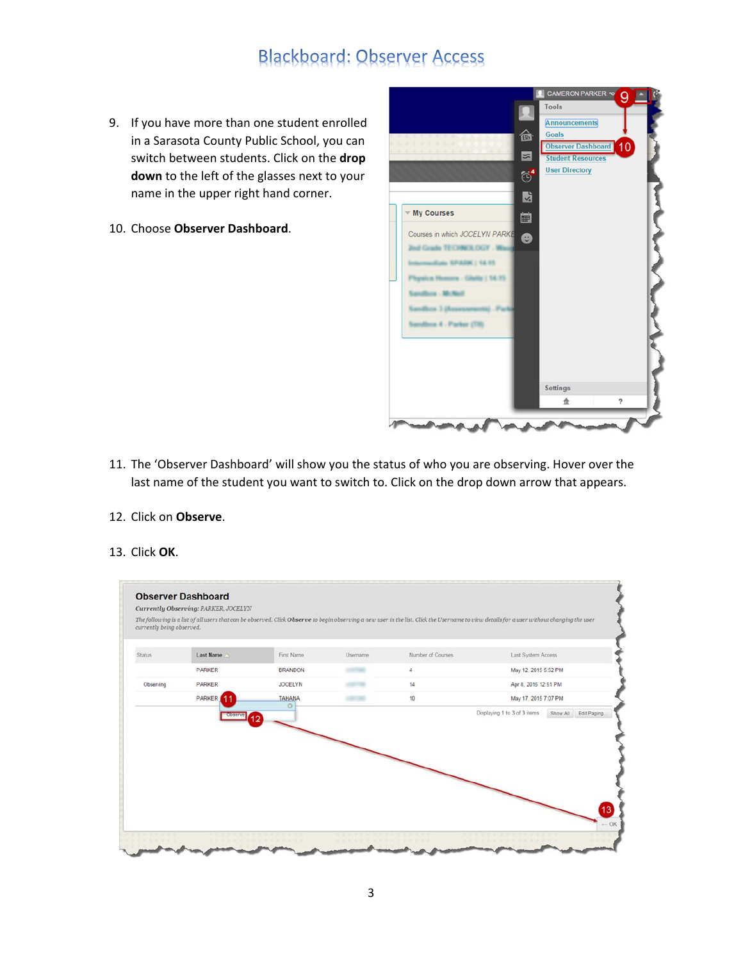- 9. If you have more than one student enrolled in a Sarasota County Public School, you can switch between students. Click on the **drop down** to the left of the glasses next to your name in the upper right hand corner.
- 10. Choose **Observer Dashboard**.



- 11. The 'Observer Dashboard' will show you the status of who you are observing. Hover over the last name of the student you want to switch to. Click on the drop down arrow that appears.
- 12. Click on **Observe**.
- 13. Click **OK**.